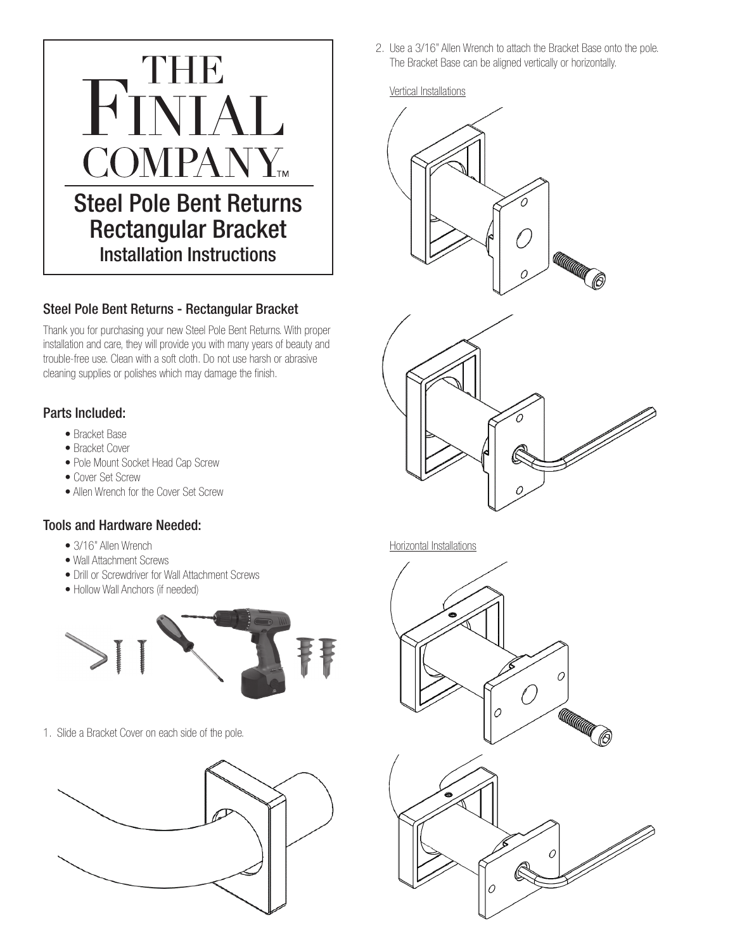

## Steel Pole Bent Returns - Rectangular Bracket

Thank you for purchasing your new Steel Pole Bent Returns. With proper installation and care, they will provide you with many years of beauty and trouble-free use. Clean with a soft cloth. Do not use harsh or abrasive cleaning supplies or polishes which may damage the finish.

## Parts Included:

- Bracket Base
- Bracket Cover
- Pole Mount Socket Head Cap Screw
- Cover Set Screw
- Allen Wrench for the Cover Set Screw

## Tools and Hardware Needed:

- 3/16" Allen Wrench
- Wall Attachment Screws
- Drill or Screwdriver for Wall Attachment Screws
- Hollow Wall Anchors (if needed)



1. Slide a Bracket Cover on each side of the pole.



2. Use a 3/16" Allen Wrench to attach the Bracket Base onto the pole. The Bracket Base can be aligned vertically or horizontally.

## Vertical Installations





Horizontal Installations